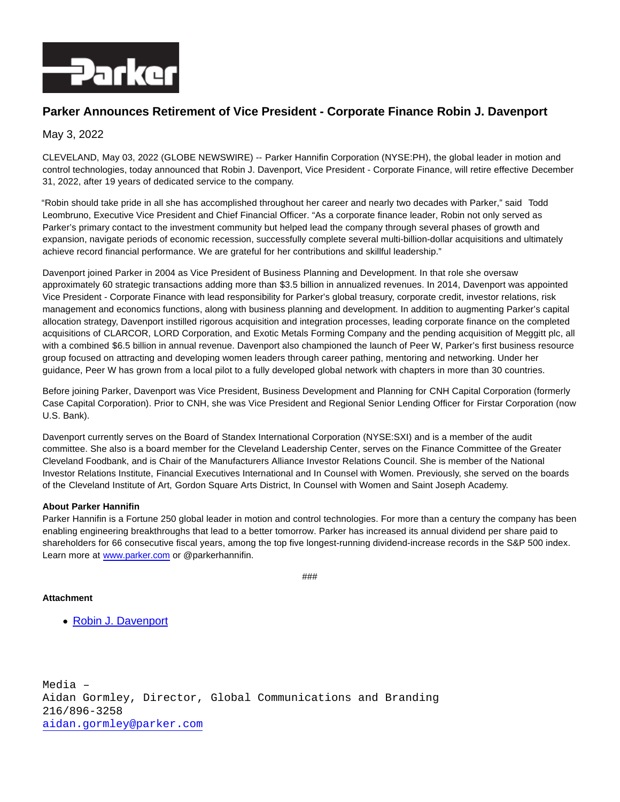

# **Parker Announces Retirement of Vice President - Corporate Finance Robin J. Davenport**

## May 3, 2022

CLEVELAND, May 03, 2022 (GLOBE NEWSWIRE) -- Parker Hannifin Corporation (NYSE:PH), the global leader in motion and control technologies, today announced that Robin J. Davenport, Vice President - Corporate Finance, will retire effective December 31, 2022, after 19 years of dedicated service to the company.

"Robin should take pride in all she has accomplished throughout her career and nearly two decades with Parker," said Todd Leombruno, Executive Vice President and Chief Financial Officer. "As a corporate finance leader, Robin not only served as Parker's primary contact to the investment community but helped lead the company through several phases of growth and expansion, navigate periods of economic recession, successfully complete several multi-billion-dollar acquisitions and ultimately achieve record financial performance. We are grateful for her contributions and skillful leadership."

Davenport joined Parker in 2004 as Vice President of Business Planning and Development. In that role she oversaw approximately 60 strategic transactions adding more than \$3.5 billion in annualized revenues. In 2014, Davenport was appointed Vice President - Corporate Finance with lead responsibility for Parker's global treasury, corporate credit, investor relations, risk management and economics functions, along with business planning and development. In addition to augmenting Parker's capital allocation strategy, Davenport instilled rigorous acquisition and integration processes, leading corporate finance on the completed acquisitions of CLARCOR, LORD Corporation, and Exotic Metals Forming Company and the pending acquisition of Meggitt plc, all with a combined \$6.5 billion in annual revenue. Davenport also championed the launch of Peer W, Parker's first business resource group focused on attracting and developing women leaders through career pathing, mentoring and networking. Under her guidance, Peer W has grown from a local pilot to a fully developed global network with chapters in more than 30 countries.

Before joining Parker, Davenport was Vice President, Business Development and Planning for CNH Capital Corporation (formerly Case Capital Corporation). Prior to CNH, she was Vice President and Regional Senior Lending Officer for Firstar Corporation (now U.S. Bank).

Davenport currently serves on the Board of Standex International Corporation (NYSE:SXI) and is a member of the audit committee. She also is a board member for the Cleveland Leadership Center, serves on the Finance Committee of the Greater Cleveland Foodbank, and is Chair of the Manufacturers Alliance Investor Relations Council. She is member of the National Investor Relations Institute, Financial Executives International and In Counsel with Women. Previously, she served on the boards of the Cleveland Institute of Art, Gordon Square Arts District, In Counsel with Women and Saint Joseph Academy.

#### **About Parker Hannifin**

Parker Hannifin is a Fortune 250 global leader in motion and control technologies. For more than a century the company has been enabling engineering breakthroughs that lead to a better tomorrow. Parker has increased its annual dividend per share paid to shareholders for 66 consecutive fiscal years, among the top five longest-running dividend-increase records in the S&P 500 index. Learn more at [www.parker.com o](http://www.parker.com/)r @parkerhannifin.

```
###
```
### **Attachment**

[Robin J. Davenport](https://ml.globenewswire.com/Resource/Download/e2c0fbee-f503-485d-a419-a3d9601b53c0)